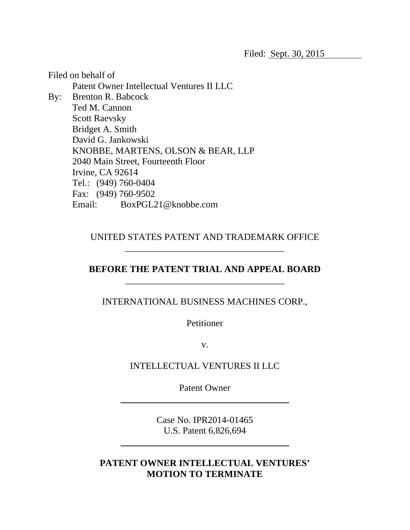Filed on behalf of Patent Owner Intellectual Ventures II LLC By: Brenton R. Babcock Ted M. Cannon Scott Raevsky Bridget A. Smith David G. Jankowski KNOBBE, MARTENS, OLSON & BEAR, LLP 2040 Main Street, Fourteenth Floor Irvine, CA 92614 Tel.: (949) 760-0404 Fax: (949) 760-9502 Email: BoxPGL21@knobbe.com

> UNITED STATES PATENT AND TRADEMARK OFFICE \_\_\_\_\_\_\_\_\_\_\_\_\_\_\_\_\_\_\_\_\_\_\_\_\_\_\_\_\_\_\_\_\_\_

## **BEFORE THE PATENT TRIAL AND APPEAL BOARD**

 $\frac{1}{2}$  ,  $\frac{1}{2}$  ,  $\frac{1}{2}$  ,  $\frac{1}{2}$  ,  $\frac{1}{2}$  ,  $\frac{1}{2}$  ,  $\frac{1}{2}$  ,  $\frac{1}{2}$  ,  $\frac{1}{2}$  ,  $\frac{1}{2}$  ,  $\frac{1}{2}$  ,  $\frac{1}{2}$  ,  $\frac{1}{2}$  ,  $\frac{1}{2}$  ,  $\frac{1}{2}$  ,  $\frac{1}{2}$  ,  $\frac{1}{2}$  ,  $\frac{1}{2}$  ,  $\frac{1$ 

 $\overline{a}$ 

INTERNATIONAL BUSINESS MACHINES CORP.,

Petitioner

v.

INTELLECTUAL VENTURES II LLC

Patent Owner

Case No. IPR2014-01465 U.S. Patent 6,826,694

## **PATENT OWNER INTELLECTUAL VENTURES' MOTION TO TERMINATE**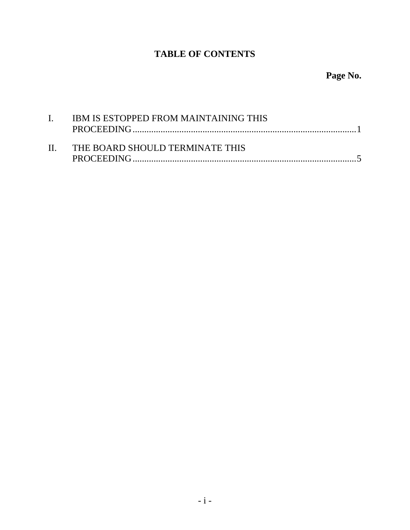## **TABLE OF CONTENTS**

# **Page No.**

| $\mathbf{I}$ | IBM IS ESTOPPED FROM MAINTAINING THIS |
|--------------|---------------------------------------|
|              | II. THE BOARD SHOULD TERMINATE THIS   |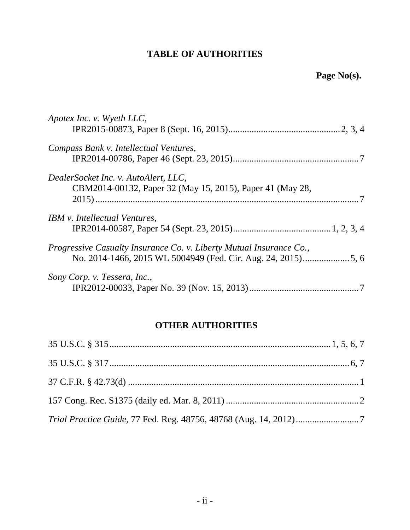## **TABLE OF AUTHORITIES**

| Apotex Inc. v. Wyeth LLC,                                                                         |
|---------------------------------------------------------------------------------------------------|
| Compass Bank v. Intellectual Ventures,                                                            |
| DealerSocket Inc. v. AutoAlert, LLC,<br>CBM2014-00132, Paper 32 (May 15, 2015), Paper 41 (May 28, |
| IBM v. Intellectual Ventures,                                                                     |
| Progressive Casualty Insurance Co. v. Liberty Mutual Insurance Co.,                               |
| Sony Corp. v. Tessera, Inc.,                                                                      |

## **OTHER AUTHORITIES**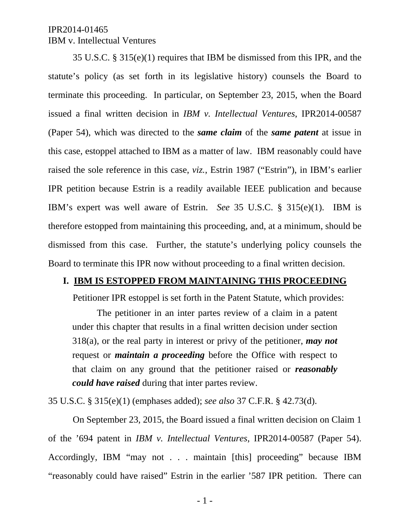35 U.S.C. § 315(e)(1) requires that IBM be dismissed from this IPR, and the statute's policy (as set forth in its legislative history) counsels the Board to terminate this proceeding. In particular, on September 23, 2015, when the Board issued a final written decision in *IBM v. Intellectual Ventures*, IPR2014-00587 (Paper 54), which was directed to the *same claim* of the *same patent* at issue in this case, estoppel attached to IBM as a matter of law. IBM reasonably could have raised the sole reference in this case, *viz.*, Estrin 1987 ("Estrin"), in IBM's earlier IPR petition because Estrin is a readily available IEEE publication and because IBM's expert was well aware of Estrin. *See* 35 U.S.C. § 315(e)(1). IBM is therefore estopped from maintaining this proceeding, and, at a minimum, should be dismissed from this case. Further, the statute's underlying policy counsels the Board to terminate this IPR now without proceeding to a final written decision.

### **I. IBM IS ESTOPPED FROM MAINTAINING THIS PROCEEDING**

Petitioner IPR estoppel is set forth in the Patent Statute, which provides:

The petitioner in an inter partes review of a claim in a patent under this chapter that results in a final written decision under section 318(a), or the real party in interest or privy of the petitioner, *may not* request or *maintain a proceeding* before the Office with respect to that claim on any ground that the petitioner raised or *reasonably could have raised* during that inter partes review.

35 U.S.C. § 315(e)(1) (emphases added); *see also* 37 C.F.R. § 42.73(d).

On September 23, 2015, the Board issued a final written decision on Claim 1 of the '694 patent in *IBM v. Intellectual Ventures*, IPR2014-00587 (Paper 54). Accordingly, IBM "may not . . . maintain [this] proceeding" because IBM "reasonably could have raised" Estrin in the earlier '587 IPR petition. There can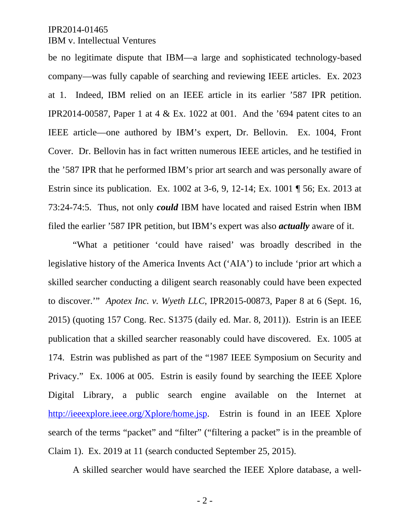#### IPR2014-01465

### IBM v. Intellectual Ventures

be no legitimate dispute that IBM—a large and sophisticated technology-based company—was fully capable of searching and reviewing IEEE articles. Ex. 2023 at 1. Indeed, IBM relied on an IEEE article in its earlier '587 IPR petition. IPR2014-00587, Paper 1 at 4 & Ex. 1022 at 001. And the '694 patent cites to an IEEE article—one authored by IBM's expert, Dr. Bellovin. Ex. 1004, Front Cover. Dr. Bellovin has in fact written numerous IEEE articles, and he testified in the '587 IPR that he performed IBM's prior art search and was personally aware of Estrin since its publication. Ex. 1002 at 3-6, 9, 12-14; Ex. 1001 ¶ 56; Ex. 2013 at 73:24-74:5. Thus, not only *could* IBM have located and raised Estrin when IBM filed the earlier '587 IPR petition, but IBM's expert was also *actually* aware of it.

"What a petitioner 'could have raised' was broadly described in the legislative history of the America Invents Act ('AIA') to include 'prior art which a skilled searcher conducting a diligent search reasonably could have been expected to discover.'" *Apotex Inc. v. Wyeth LLC*, IPR2015-00873, Paper 8 at 6 (Sept. 16, 2015) (quoting 157 Cong. Rec. S1375 (daily ed. Mar. 8, 2011)). Estrin is an IEEE publication that a skilled searcher reasonably could have discovered. Ex. 1005 at 174. Estrin was published as part of the "1987 IEEE Symposium on Security and Privacy." Ex. 1006 at 005. Estrin is easily found by searching the IEEE Xplore Digital Library, a public search engine available on the Internet at http://ieeexplore.ieee.org/Xplore/home.jsp. Estrin is found in an IEEE Xplore search of the terms "packet" and "filter" ("filtering a packet" is in the preamble of Claim 1). Ex. 2019 at 11 (search conducted September 25, 2015).

A skilled searcher would have searched the IEEE Xplore database, a well-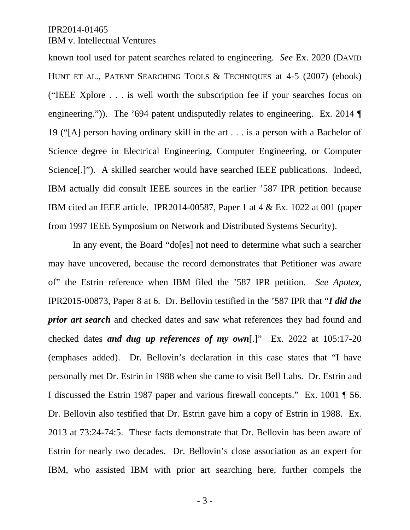known tool used for patent searches related to engineering. *See* Ex. 2020 (DAVID HUNT ET AL., PATENT SEARCHING TOOLS & TECHNIQUES at 4-5 (2007) (ebook) ("IEEE Xplore . . . is well worth the subscription fee if your searches focus on engineering.")). The '694 patent undisputedly relates to engineering. Ex. 2014 ¶ 19 ("[A] person having ordinary skill in the art . . . is a person with a Bachelor of Science degree in Electrical Engineering, Computer Engineering, or Computer Science[.]"). A skilled searcher would have searched IEEE publications. Indeed, IBM actually did consult IEEE sources in the earlier '587 IPR petition because IBM cited an IEEE article. IPR2014-00587, Paper 1 at 4 & Ex. 1022 at 001 (paper from 1997 IEEE Symposium on Network and Distributed Systems Security).

In any event, the Board "do[es] not need to determine what such a searcher may have uncovered, because the record demonstrates that Petitioner was aware of" the Estrin reference when IBM filed the '587 IPR petition. *See Apotex*, IPR2015-00873, Paper 8 at 6. Dr. Bellovin testified in the '587 IPR that "*I did the prior art search* and checked dates and saw what references they had found and checked dates *and dug up references of my own*[.]" Ex. 2022 at 105:17-20 (emphases added). Dr. Bellovin's declaration in this case states that "I have personally met Dr. Estrin in 1988 when she came to visit Bell Labs. Dr. Estrin and I discussed the Estrin 1987 paper and various firewall concepts." Ex. 1001 ¶ 56. Dr. Bellovin also testified that Dr. Estrin gave him a copy of Estrin in 1988. Ex. 2013 at 73:24-74:5. These facts demonstrate that Dr. Bellovin has been aware of Estrin for nearly two decades. Dr. Bellovin's close association as an expert for IBM, who assisted IBM with prior art searching here, further compels the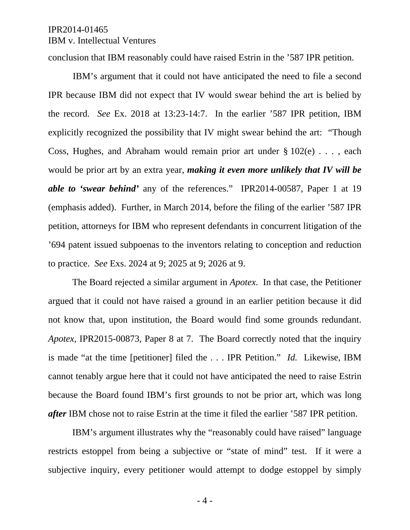conclusion that IBM reasonably could have raised Estrin in the '587 IPR petition.

IBM's argument that it could not have anticipated the need to file a second IPR because IBM did not expect that IV would swear behind the art is belied by the record. *See* Ex. 2018 at 13:23-14:7. In the earlier '587 IPR petition, IBM explicitly recognized the possibility that IV might swear behind the art: "Though Coss, Hughes, and Abraham would remain prior art under  $\S 102(e)$ ..., each would be prior art by an extra year, *making it even more unlikely that IV will be able to 'swear behind'* any of the references." IPR2014-00587, Paper 1 at 19 (emphasis added). Further, in March 2014, before the filing of the earlier '587 IPR petition, attorneys for IBM who represent defendants in concurrent litigation of the '694 patent issued subpoenas to the inventors relating to conception and reduction to practice. *See* Exs. 2024 at 9; 2025 at 9; 2026 at 9.

The Board rejected a similar argument in *Apotex*. In that case, the Petitioner argued that it could not have raised a ground in an earlier petition because it did not know that, upon institution, the Board would find some grounds redundant. *Apotex*, IPR2015-00873, Paper 8 at 7. The Board correctly noted that the inquiry is made "at the time [petitioner] filed the . . . IPR Petition." *Id.* Likewise, IBM cannot tenably argue here that it could not have anticipated the need to raise Estrin because the Board found IBM's first grounds to not be prior art, which was long *after* IBM chose not to raise Estrin at the time it filed the earlier '587 IPR petition.

IBM's argument illustrates why the "reasonably could have raised" language restricts estoppel from being a subjective or "state of mind" test. If it were a subjective inquiry, every petitioner would attempt to dodge estoppel by simply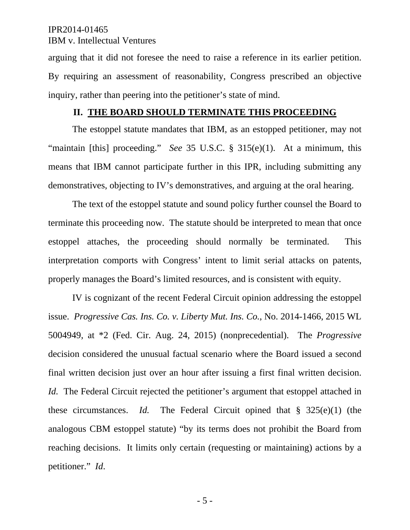arguing that it did not foresee the need to raise a reference in its earlier petition. By requiring an assessment of reasonability, Congress prescribed an objective inquiry, rather than peering into the petitioner's state of mind.

#### **II. THE BOARD SHOULD TERMINATE THIS PROCEEDING**

The estoppel statute mandates that IBM, as an estopped petitioner, may not "maintain [this] proceeding." *See* 35 U.S.C. § 315(e)(1). At a minimum, this means that IBM cannot participate further in this IPR, including submitting any demonstratives, objecting to IV's demonstratives, and arguing at the oral hearing.

The text of the estoppel statute and sound policy further counsel the Board to terminate this proceeding now. The statute should be interpreted to mean that once estoppel attaches, the proceeding should normally be terminated. This interpretation comports with Congress' intent to limit serial attacks on patents, properly manages the Board's limited resources, and is consistent with equity.

IV is cognizant of the recent Federal Circuit opinion addressing the estoppel issue. *Progressive Cas. Ins. Co. v. Liberty Mut. Ins. Co.*, No. 2014-1466, 2015 WL 5004949, at \*2 (Fed. Cir. Aug. 24, 2015) (nonprecedential). The *Progressive*  decision considered the unusual factual scenario where the Board issued a second final written decision just over an hour after issuing a first final written decision. *Id.* The Federal Circuit rejected the petitioner's argument that estoppel attached in these circumstances. *Id.* The Federal Circuit opined that § 325(e)(1) (the analogous CBM estoppel statute) "by its terms does not prohibit the Board from reaching decisions. It limits only certain (requesting or maintaining) actions by a petitioner." *Id*.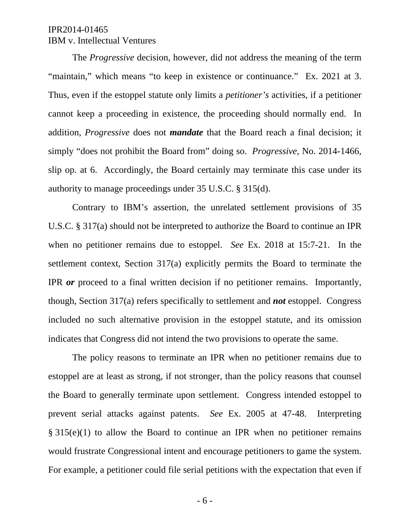The *Progressive* decision, however, did not address the meaning of the term "maintain," which means "to keep in existence or continuance." Ex. 2021 at 3. Thus, even if the estoppel statute only limits a *petitioner's* activities, if a petitioner cannot keep a proceeding in existence, the proceeding should normally end. In addition, *Progressive* does not *mandate* that the Board reach a final decision; it simply "does not prohibit the Board from" doing so. *Progressive*, No. 2014-1466, slip op. at 6. Accordingly, the Board certainly may terminate this case under its authority to manage proceedings under 35 U.S.C. § 315(d).

Contrary to IBM's assertion, the unrelated settlement provisions of 35 U.S.C. § 317(a) should not be interpreted to authorize the Board to continue an IPR when no petitioner remains due to estoppel. *See* Ex. 2018 at 15:7-21. In the settlement context, Section 317(a) explicitly permits the Board to terminate the IPR *or* proceed to a final written decision if no petitioner remains. Importantly, though, Section 317(a) refers specifically to settlement and *not* estoppel. Congress included no such alternative provision in the estoppel statute, and its omission indicates that Congress did not intend the two provisions to operate the same.

The policy reasons to terminate an IPR when no petitioner remains due to estoppel are at least as strong, if not stronger, than the policy reasons that counsel the Board to generally terminate upon settlement. Congress intended estoppel to prevent serial attacks against patents. *See* Ex. 2005 at 47-48. Interpreting § 315(e)(1) to allow the Board to continue an IPR when no petitioner remains would frustrate Congressional intent and encourage petitioners to game the system. For example, a petitioner could file serial petitions with the expectation that even if

- 6 -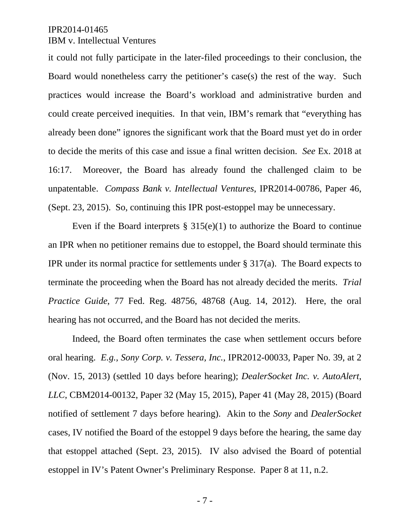it could not fully participate in the later-filed proceedings to their conclusion, the Board would nonetheless carry the petitioner's case(s) the rest of the way. Such practices would increase the Board's workload and administrative burden and could create perceived inequities. In that vein, IBM's remark that "everything has already been done" ignores the significant work that the Board must yet do in order to decide the merits of this case and issue a final written decision. *See* Ex. 2018 at 16:17. Moreover, the Board has already found the challenged claim to be unpatentable. *Compass Bank v. Intellectual Ventures*, IPR2014-00786, Paper 46, (Sept. 23, 2015). So, continuing this IPR post-estoppel may be unnecessary.

Even if the Board interprets  $\S 315(e)(1)$  to authorize the Board to continue an IPR when no petitioner remains due to estoppel, the Board should terminate this IPR under its normal practice for settlements under § 317(a). The Board expects to terminate the proceeding when the Board has not already decided the merits. *Trial Practice Guide*, 77 Fed. Reg. 48756, 48768 (Aug. 14, 2012). Here, the oral hearing has not occurred, and the Board has not decided the merits.

Indeed, the Board often terminates the case when settlement occurs before oral hearing. *E.g., Sony Corp. v. Tessera, Inc.*, IPR2012-00033, Paper No. 39, at 2 (Nov. 15, 2013) (settled 10 days before hearing); *DealerSocket Inc. v. AutoAlert, LLC*, CBM2014-00132, Paper 32 (May 15, 2015), Paper 41 (May 28, 2015) (Board notified of settlement 7 days before hearing). Akin to the *Sony* and *DealerSocket* cases, IV notified the Board of the estoppel 9 days before the hearing, the same day that estoppel attached (Sept. 23, 2015). IV also advised the Board of potential estoppel in IV's Patent Owner's Preliminary Response. Paper 8 at 11, n.2.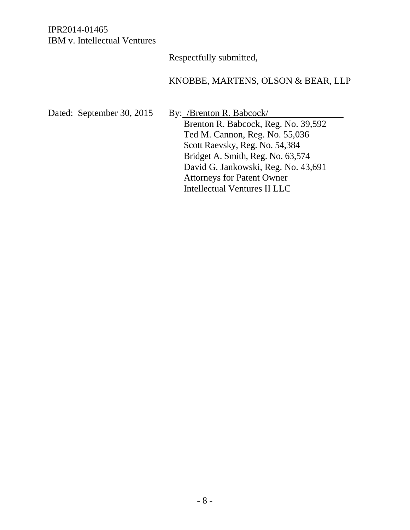Respectfully submitted,

## KNOBBE, MARTENS, OLSON & BEAR, LLP

Dated: September 30, 2015 By: /Brenton R. Babcock/

Brenton R. Babcock, Reg. No. 39,592 Ted M. Cannon, Reg. No. 55,036 Scott Raevsky, Reg. No. 54,384 Bridget A. Smith, Reg. No. 63,574 David G. Jankowski, Reg. No. 43,691 Attorneys for Patent Owner Intellectual Ventures II LLC